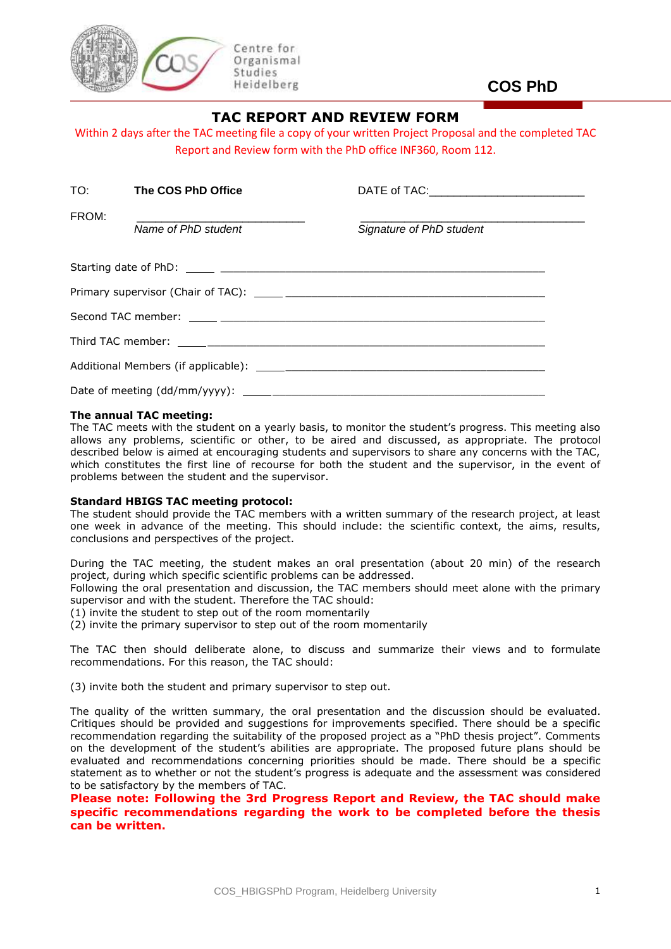

**COS PhD**

## **TAC REPORT AND REVIEW FORM**

Within 2 days after the TAC meeting file a copy of your written Project Proposal and the completed TAC Report and Review form with the PhD office INF360, Room 112.

|       | TO: The COS PhD Office | DATE of TAC:_____________________________ |  |  |  |  |
|-------|------------------------|-------------------------------------------|--|--|--|--|
| FROM: | Name of PhD student    | Signature of PhD student                  |  |  |  |  |
|       |                        |                                           |  |  |  |  |
|       |                        |                                           |  |  |  |  |
|       |                        |                                           |  |  |  |  |
|       |                        |                                           |  |  |  |  |
|       |                        |                                           |  |  |  |  |
|       |                        |                                           |  |  |  |  |

### **The annual TAC meeting:**

The TAC meets with the student on a yearly basis, to monitor the student's progress. This meeting also allows any problems, scientific or other, to be aired and discussed, as appropriate. The protocol described below is aimed at encouraging students and supervisors to share any concerns with the TAC, which constitutes the first line of recourse for both the student and the supervisor, in the event of problems between the student and the supervisor.

#### **Standard HBIGS TAC meeting protocol:**

The student should provide the TAC members with a written summary of the research project, at least one week in advance of the meeting. This should include: the scientific context, the aims, results, conclusions and perspectives of the project.

During the TAC meeting, the student makes an oral presentation (about 20 min) of the research project, during which specific scientific problems can be addressed.

Following the oral presentation and discussion, the TAC members should meet alone with the primary supervisor and with the student. Therefore the TAC should:

(1) invite the student to step out of the room momentarily

(2) invite the primary supervisor to step out of the room momentarily

The TAC then should deliberate alone, to discuss and summarize their views and to formulate recommendations. For this reason, the TAC should:

(3) invite both the student and primary supervisor to step out.

The quality of the written summary, the oral presentation and the discussion should be evaluated. Critiques should be provided and suggestions for improvements specified. There should be a specific recommendation regarding the suitability of the proposed project as a "PhD thesis project". Comments on the development of the student's abilities are appropriate. The proposed future plans should be evaluated and recommendations concerning priorities should be made. There should be a specific statement as to whether or not the student's progress is adequate and the assessment was considered to be satisfactory by the members of TAC.

**Please note: Following the 3rd Progress Report and Review, the TAC should make specific recommendations regarding the work to be completed before the thesis can be written.**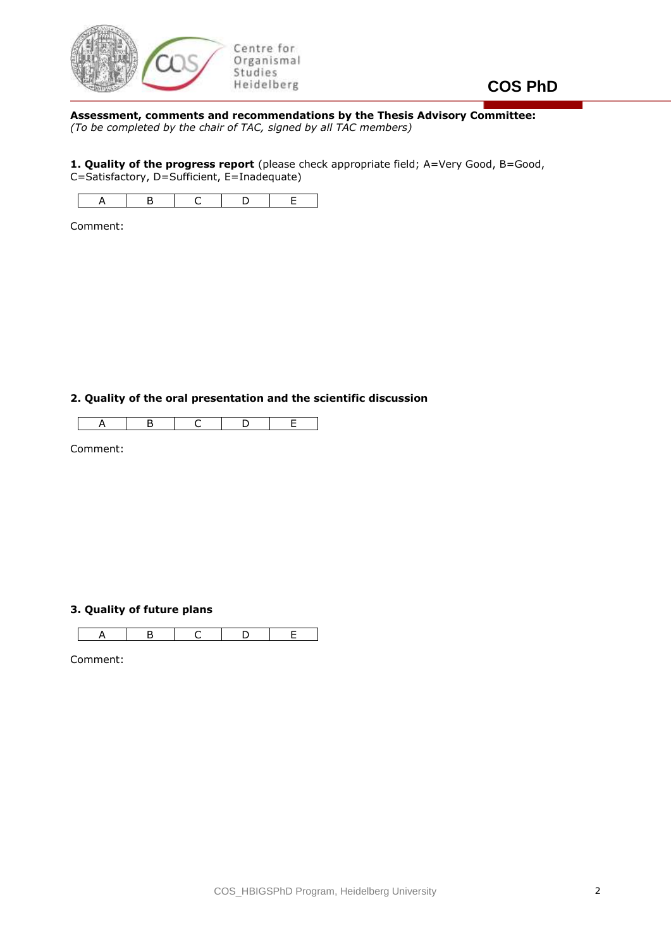

# **COS PhD**

**Assessment, comments and recommendations by the Thesis Advisory Committee:** *(To be completed by the chair of TAC, signed by all TAC members)*

**1. Quality of the progress report** (please check appropriate field; A=Very Good, B=Good, C=Satisfactory, D=Sufficient, E=Inadequate)



Comment:

**2. Quality of the oral presentation and the scientific discussion**

 $\sqrt{ }$ A | B | C | D | E

Comment:

## **3. Quality of future plans**

A | B | C | D | E

Comment: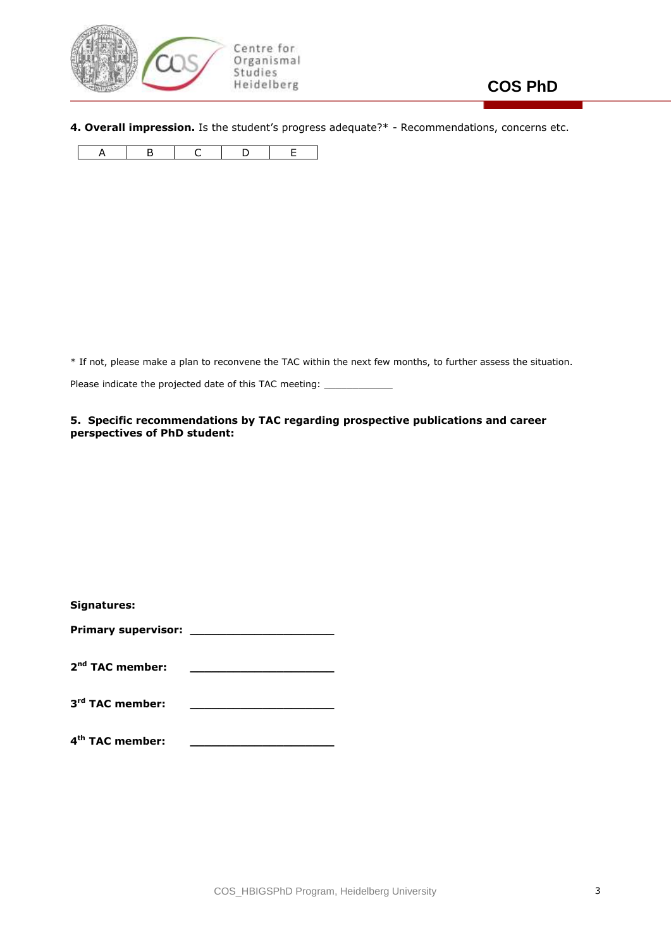

**4. Overall impression.** Is the student's progress adequate?\* - Recommendations, concerns etc.

|--|

\* If not, please make a plan to reconvene the TAC within the next few months, to further assess the situation.

Please indicate the projected date of this TAC meeting: \_\_\_\_\_\_\_\_\_\_\_\_\_\_\_\_\_\_\_\_\_\_\_\_

### **5. Specific recommendations by TAC regarding prospective publications and career perspectives of PhD student:**

| <b>Signatures:</b>          |  |
|-----------------------------|--|
| <b>Primary supervisor:</b>  |  |
|                             |  |
| 2 <sup>nd</sup> TAC member: |  |
|                             |  |
| 3 <sup>rd</sup> TAC member: |  |
|                             |  |

**4 th TAC member: \_\_\_\_\_\_\_\_\_\_\_\_\_\_\_\_\_\_\_\_**